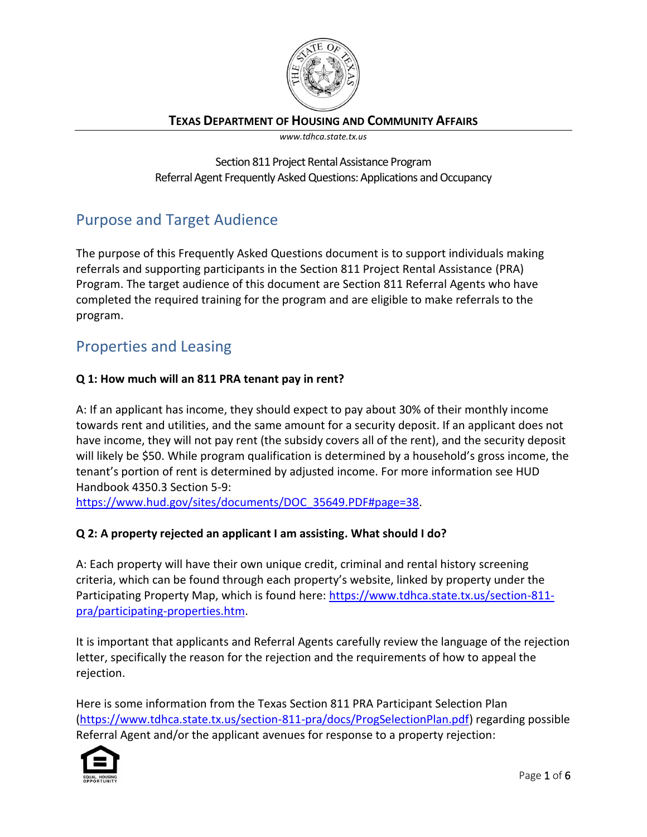

*www.tdhca.state.tx.us*

Section 811 Project Rental Assistance Program Referral Agent Frequently Asked Questions: Applications and Occupancy

# Purpose and Target Audience

The purpose of this Frequently Asked Questions document is to support individuals making referrals and supporting participants in the Section 811 Project Rental Assistance (PRA) Program. The target audience of this document are Section 811 Referral Agents who have completed the required training for the program and are eligible to make referrals to the program.

# Properties and Leasing

## **Q 1: How much will an 811 PRA tenant pay in rent?**

A: If an applicant has income, they should expect to pay about 30% of their monthly income towards rent and utilities, and the same amount for a security deposit. If an applicant does not have income, they will not pay rent (the subsidy covers all of the rent), and the security deposit will likely be \$50. While program qualification is determined by a household's gross income, the tenant's portion of rent is determined by adjusted income. For more information see HUD Handbook 4350.3 Section 5-9:

[https://www.hud.gov/sites/documents/DOC\\_35649.PDF#page=38.](https://www.hud.gov/sites/documents/DOC_35649.PDF#page=38)

## **Q 2: A property rejected an applicant I am assisting. What should I do?**

A: Each property will have their own unique credit, criminal and rental history screening criteria, which can be found through each property's website, linked by property under the Participating Property Map, which is found here: [https://www.tdhca.state.tx.us/section-811](https://www.tdhca.state.tx.us/section-811-pra/participating-properties.htm) [pra/participating-properties.htm.](https://www.tdhca.state.tx.us/section-811-pra/participating-properties.htm)

It is important that applicants and Referral Agents carefully review the language of the rejection letter, specifically the reason for the rejection and the requirements of how to appeal the rejection.

Here is some information from the Texas Section 811 PRA Participant Selection Plan [\(https://www.tdhca.state.tx.us/section-811-pra/docs/ProgSelectionPlan.pdf\)](https://www.tdhca.state.tx.us/section-811-pra/docs/ProgSelectionPlan.pdf) regarding possible Referral Agent and/or the applicant avenues for response to a property rejection:

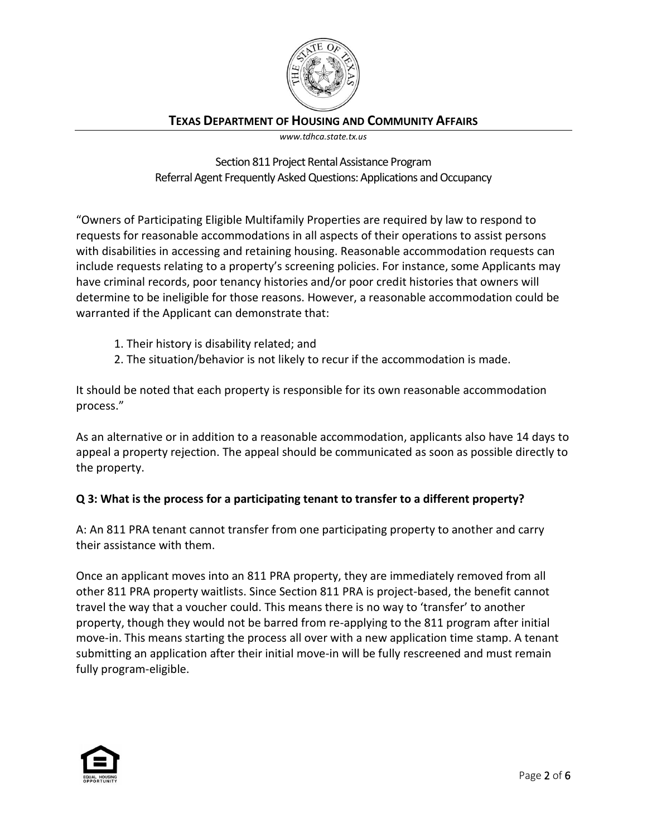

*www.tdhca.state.tx.us*

Section 811 Project Rental Assistance Program Referral Agent Frequently Asked Questions: Applications and Occupancy

"Owners of Participating Eligible Multifamily Properties are required by law to respond to requests for reasonable accommodations in all aspects of their operations to assist persons with disabilities in accessing and retaining housing. Reasonable accommodation requests can include requests relating to a property's screening policies. For instance, some Applicants may have criminal records, poor tenancy histories and/or poor credit histories that owners will determine to be ineligible for those reasons. However, a reasonable accommodation could be warranted if the Applicant can demonstrate that:

- 1. Their history is disability related; and
- 2. The situation/behavior is not likely to recur if the accommodation is made.

It should be noted that each property is responsible for its own reasonable accommodation process."

As an alternative or in addition to a reasonable accommodation, applicants also have 14 days to appeal a property rejection. The appeal should be communicated as soon as possible directly to the property.

### **Q 3: What is the process for a participating tenant to transfer to a different property?**

A: An 811 PRA tenant cannot transfer from one participating property to another and carry their assistance with them.

Once an applicant moves into an 811 PRA property, they are immediately removed from all other 811 PRA property waitlists. Since Section 811 PRA is project-based, the benefit cannot travel the way that a voucher could. This means there is no way to 'transfer' to another property, though they would not be barred from re-applying to the 811 program after initial move-in. This means starting the process all over with a new application time stamp. A tenant submitting an application after their initial move-in will be fully rescreened and must remain fully program-eligible.

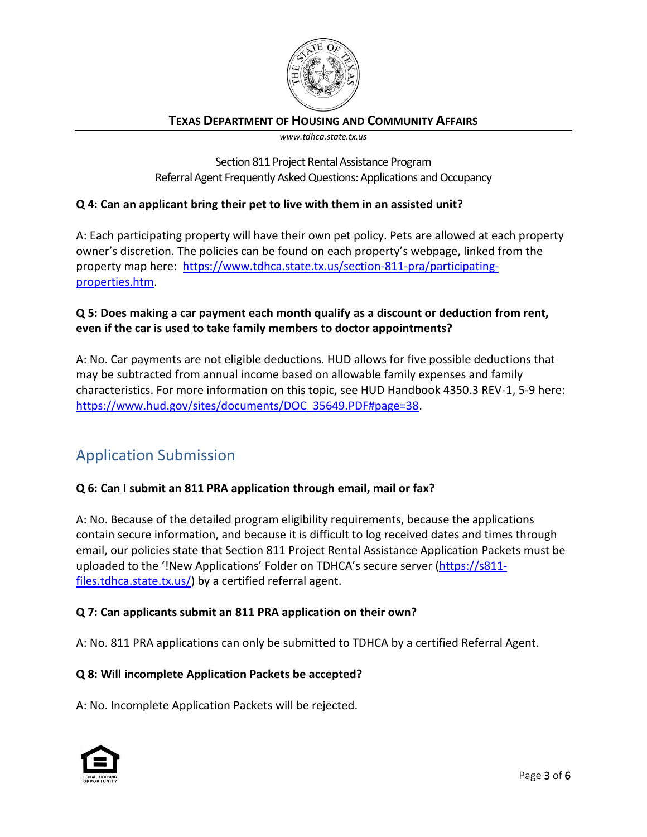

*www.tdhca.state.tx.us*

Section 811 Project Rental Assistance Program Referral Agent Frequently Asked Questions: Applications and Occupancy

### **Q 4: Can an applicant bring their pet to live with them in an assisted unit?**

A: Each participating property will have their own pet policy. Pets are allowed at each property owner's discretion. The policies can be found on each property's webpage, linked from the property map here: [https://www.tdhca.state.tx.us/section-811-pra/participating](https://www.tdhca.state.tx.us/section-811-pra/participating-properties.htm)[properties.htm.](https://www.tdhca.state.tx.us/section-811-pra/participating-properties.htm)

## **Q 5: Does making a car payment each month qualify as a discount or deduction from rent, even if the car is used to take family members to doctor appointments?**

A: No. Car payments are not eligible deductions. HUD allows for five possible deductions that may be subtracted from annual income based on allowable family expenses and family characteristics. For more information on this topic, see HUD Handbook 4350.3 REV-1, 5-9 here: [https://www.hud.gov/sites/documents/DOC\\_35649.PDF#page=38.](https://www.hud.gov/sites/documents/DOC_35649.PDF#page=38)

# Application Submission

## **Q 6: Can I submit an 811 PRA application through email, mail or fax?**

A: No. Because of the detailed program eligibility requirements, because the applications contain secure information, and because it is difficult to log received dates and times through email, our policies state that Section 811 Project Rental Assistance Application Packets must be uploaded to the '!New Applications' Folder on TDHCA's secure server ([https://s811](https://s811-files.tdhca.state.tx.us/) [files.tdhca.state.tx.us/\)](https://s811-files.tdhca.state.tx.us/) by a certified referral agent.

## **Q 7: Can applicants submit an 811 PRA application on their own?**

A: No. 811 PRA applications can only be submitted to TDHCA by a certified Referral Agent.

### **Q 8: Will incomplete Application Packets be accepted?**

A: No. Incomplete Application Packets will be rejected.

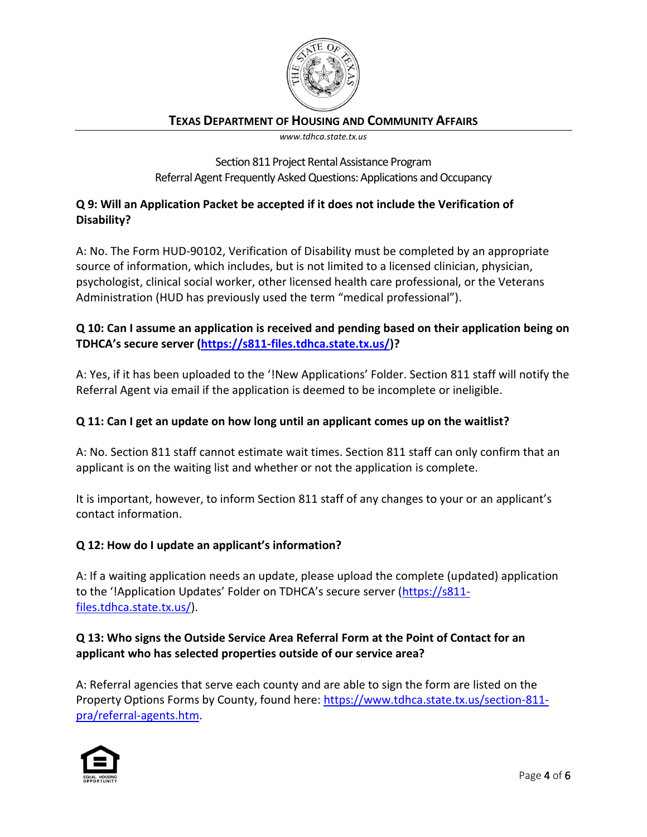

*www.tdhca.state.tx.us*

## Section 811 Project Rental Assistance Program Referral Agent Frequently Asked Questions: Applications and Occupancy

## **Q 9: Will an Application Packet be accepted if it does not include the Verification of Disability?**

A: No. The Form HUD-90102, Verification of Disability must be completed by an appropriate source of information, which includes, but is not limited to a licensed clinician, physician, psychologist, clinical social worker, other licensed health care professional, or the Veterans Administration (HUD has previously used the term "medical professional").

## **Q 10: Can I assume an application is received and pending based on their application being on TDHCA's secure server ([https://s811-files.tdhca.state.tx.us/\)](https://s811-files.tdhca.state.tx.us/)?**

A: Yes, if it has been uploaded to the '!New Applications' Folder. Section 811 staff will notify the Referral Agent via email if the application is deemed to be incomplete or ineligible.

## **Q 11: Can I get an update on how long until an applicant comes up on the waitlist?**

A: No. Section 811 staff cannot estimate wait times. Section 811 staff can only confirm that an applicant is on the waiting list and whether or not the application is complete.

It is important, however, to inform Section 811 staff of any changes to your or an applicant's contact information.

## **Q 12: How do I update an applicant's information?**

A: If a waiting application needs an update, please upload the complete (updated) application to the '!Application Updates' Folder on TDHCA's secure server ([https://s811](https://s811-files.tdhca.state.tx.us/) [files.tdhca.state.tx.us/\)](https://s811-files.tdhca.state.tx.us/).

## **Q 13: Who signs the Outside Service Area Referral Form at the Point of Contact for an applicant who has selected properties outside of our service area?**

A: Referral agencies that serve each county and are able to sign the form are listed on the Property Options Forms by County, found here: [https://www.tdhca.state.tx.us/section-811](https://www.tdhca.state.tx.us/section-811-pra/referral-agents.htm) [pra/referral-agents.htm.](https://www.tdhca.state.tx.us/section-811-pra/referral-agents.htm)

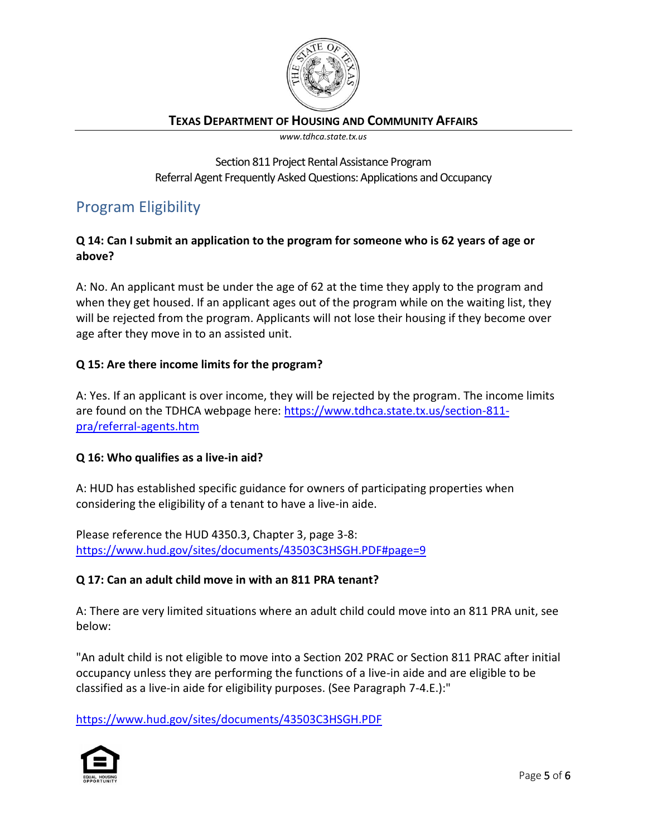

*www.tdhca.state.tx.us*

## Section 811 Project Rental Assistance Program Referral Agent Frequently Asked Questions: Applications and Occupancy

# Program Eligibility

## **Q 14: Can I submit an application to the program for someone who is 62 years of age or above?**

A: No. An applicant must be under the age of 62 at the time they apply to the program and when they get housed. If an applicant ages out of the program while on the waiting list, they will be rejected from the program. Applicants will not lose their housing if they become over age after they move in to an assisted unit.

## **Q 15: Are there income limits for the program?**

A: Yes. If an applicant is over income, they will be rejected by the program. The income limits are found on the TDHCA webpage here: [https://www.tdhca.state.tx.us/section-811](https://www.tdhca.state.tx.us/section-811-pra/referral-agents.htm) [pra/referral-agents.htm](https://www.tdhca.state.tx.us/section-811-pra/referral-agents.htm)

## **Q 16: Who qualifies as a live-in aid?**

A: HUD has established specific guidance for owners of participating properties when considering the eligibility of a tenant to have a live-in aide.

Please reference the HUD 4350.3, Chapter 3, page 3-8: <https://www.hud.gov/sites/documents/43503C3HSGH.PDF#page=9>

## **Q 17: Can an adult child move in with an 811 PRA tenant?**

A: There are very limited situations where an adult child could move into an 811 PRA unit, see below:

"An adult child is not eligible to move into a Section 202 PRAC or Section 811 PRAC after initial occupancy unless they are performing the functions of a live-in aide and are eligible to be classified as a live-in aide for eligibility purposes. (See Paragraph 7-4.E.):"

<https://www.hud.gov/sites/documents/43503C3HSGH.PDF>